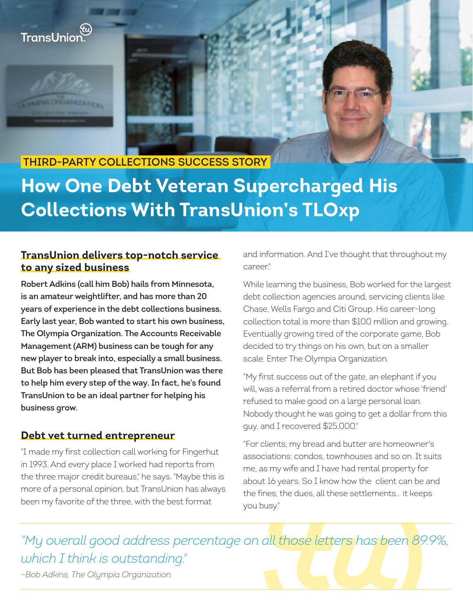

## **THIRD-PARTY COLLECTIONS SUCCESS STORY**

# **How One Debt Veteran Supercharged His Collections With TransUnion's TLOxp**

#### **TransUnion delivers top-notch service to any sized business**

**Robert Adkins (call him Bob) hails from Minnesota, is an amateur weightlifter, and has more than 20 years of experience in the debt collections business. Early last year, Bob wanted to start his own business, The Olympia Organization. The Accounts Receivable Management (ARM) business can be tough for any new player to break into, especially a small business. But Bob has been pleased that TransUnion was there to help him every step of the way. In fact, he's found TransUnion to be an ideal partner for helping his business grow.**

#### **Debt vet turned entrepreneur**

"I made my first collection call working for Fingerhut in 1993. And every place I worked had reports from the three major credit bureaus," he says. "Maybe this is more of a personal opinion, but TransUnion has always been my favorite of the three, with the best format

and information. And I've thought that throughout my career."

While learning the business, Bob worked for the largest debt collection agencies around, servicing clients like Chase, Wells Fargo and Citi Group. His career-long collection total is more than \$100 million and growing. Eventually growing tired of the corporate game, Bob decided to try things on his own, but on a smaller scale. Enter The Olympia Organization.

"My first success out of the gate, an elephant if you will, was a referral from a retired doctor whose 'friend' refused to make good on a large personal loan. Nobody thought he was going to get a dollar from this guy, and I recovered \$25,000."

"For clients, my bread and butter are homeowner's associations: condos, townhouses and so on. It suits me, as my wife and I have had rental property for about 16 years. So I know how the client can be and the fines, the dues, all these settlements… it keeps you busy."

*"My overall good address percentage on all those letters has been 89.9%, which I think is outstanding."*

*–Bob Adkins, The Olympia Organization*